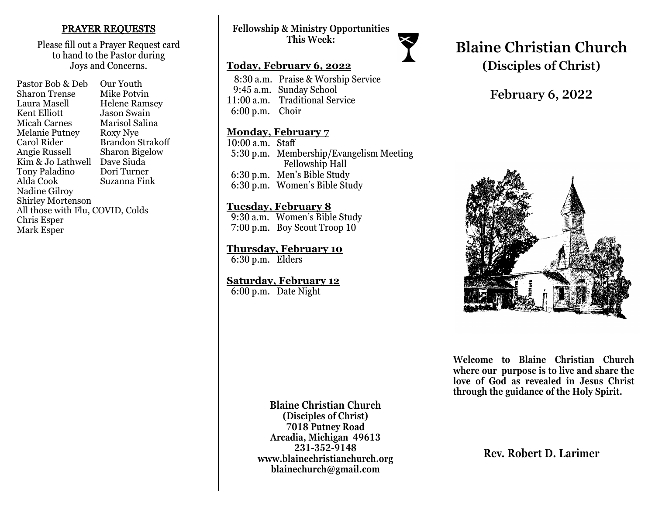### PRAYER REQUESTS

Please fill out a Prayer Request card to hand to the Pastor during Joys and Concerns.

Pastor Bob & Deb Our Youth Sharon Trense Mike Potvin Laura Masell Helene Ramsey<br>Kent Elliott Jason Swain Micah Carnes Marisol Salina Melanie Putney Roxy Nye Carol Rider Brandon Strakoff Angie Russell Sharon Bigelow Kim & Jo Lathwell Dave Siuda<br>Tony Paladino Dori Turner Tony Paladino Alda Cook Suzanna Fink Nadine Gilroy Shirley Mortenson All those with Flu, COVID, Colds Chris Esper Mark Esper

Jason Swain

## **Fellowship & Ministry Opportunities This Week:**

### **Today, February 6, 2022**

 8:30 a.m. Praise & Worship Service 9:45 a.m. Sunday School 11:00 a.m. Traditional Service 6:00 p.m. Choir

### **Monday, February 7**

10:00 a.m. Staff 5:30 p.m. Membership/Evangelism Meeting Fellowship Hall 6:30 p.m. Men's Bible Study 6:30 p.m. Women's Bible Study

### **Tuesday, February 8**

 9:30 a.m. Women's Bible Study 7:00 p.m. Boy Scout Troop 10

## **Thursday, February 10**

6:30 p.m. Elders

# **Saturday, February 12**

6:00 p.m. Date Night



# **February 6, 2022**



**Welcome to Blaine Christian Church where our purpose is to live and share the love of God as revealed in Jesus Christ through the guidance of the Holy Spirit.**

**Blaine Christian Church (Disciples of Christ) 7018 Putney Road Arcadia, Michigan 49613 231-352-9148 www.blainechristianchurch.org blainechurch@gmail.com**

**Rev. Robert D. Larimer**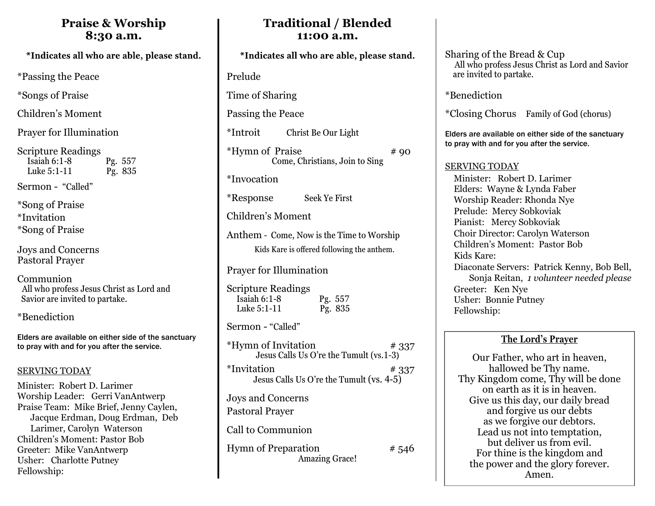# **Praise & Worship 8:30 a.m.**

\*Passing the Peace

\*Songs of Praise

Children's Moment

Prayer for Illumination

Scripture Readings<br>Isaiah 6:1-8 Pg. 557 Isaiah  $6:1-8$ Luke 5:1-11 Pg. 835

Sermon - "Called"

\*Song of Praise \*Invitation \*Song of Praise

Joys and Concerns Pastoral Prayer

Communion All who profess Jesus Christ as Lord and Savior are invited to partake.

\*Benediction

Elders are available on either side of the sanctuary to pray with and for you after the service.

### SERVING TODAY

Minister: Robert D. Larimer Worship Leader: Gerri VanAntwerp Praise Team: Mike Brief, Jenny Caylen, Jacque Erdman, Doug Erdman, Deb Larimer, Carolyn Waterson Children's Moment: Pastor Bob Greeter: Mike VanAntwerp Usher: Charlotte Putney Fellowship:

# **Traditional / Blended 11:00 a.m.**

Prelude

Time of Sharing

Passing the Peace

\*Introit Christ Be Our Light

 $***H**$  + 90  $***H**$  + 90 Come, Christians, Join to Sing

\*Invocation

\*Response Seek Ye First

Children's Moment

Anthem - Come, Now is the Time to Worship Kids Kare is offered following the anthem.

## Prayer for Illumination

Scripture Readings Isaiah 6:1-8 Pg. 557 Luke 5:1-11 Pg. 835

Sermon - "Called"

| <i>*</i> Hymn of Invitation<br>Jesus Calls Us O're the Tumult (vs. 1-3) | #337 |
|-------------------------------------------------------------------------|------|
| *Invitation<br>Jesus Calls Us O're the Tumult (vs. 4-5)                 | #337 |
| <b>Joys and Concerns</b><br><b>Pastoral Prayer</b>                      |      |
| Call to Communion                                                       |      |
| Hymn of Preparation<br><b>Amazing Grace!</b>                            | # 54 |

Sharing of the Bread & Cup All who profess Jesus Christ as Lord and Savior are invited to partake.

\*Benediction

\*Closing Chorus Family of God (chorus)

Elders are available on either side of the sanctuary to pray with and for you after the service.

### SERVING TODAY

 Minister: Robert D. Larimer Elders: Wayne & Lynda Faber Worship Reader: Rhonda Nye Prelude: Mercy Sobkoviak Pianist: Mercy Sobkoviak Choir Director: Carolyn Waterson Children's Moment: Pastor Bob Kids Kare: Diaconate Servers: Patrick Kenny, Bob Bell, Sonja Reitan, *1 volunteer needed please* Greeter: Ken Nye Usher: Bonnie Putney Fellowship:

# **The Lord's Prayer**

Our Father, who art in heaven, hallowed be Thy name. Thy Kingdom come, Thy will be done on earth as it is in heaven. Give us this day, our daily bread and forgive us our debts as we forgive our debtors. Lead us not into temptation, but deliver us from evil. For thine is the kingdom and the power and the glory forever. Amen.